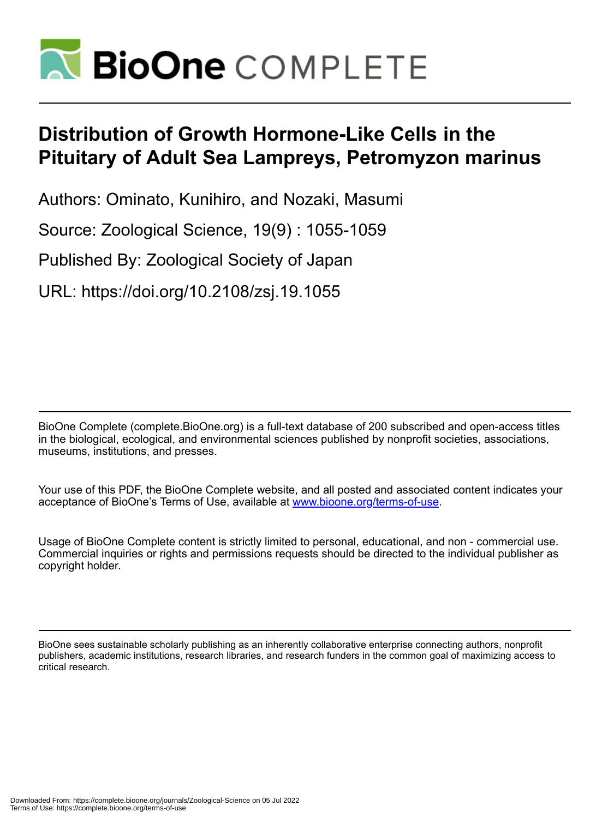

# **Distribution of Growth Hormone-Like Cells in the Pituitary of Adult Sea Lampreys, Petromyzon marinus**

Authors: Ominato, Kunihiro, and Nozaki, Masumi

Source: Zoological Science, 19(9) : 1055-1059

Published By: Zoological Society of Japan

URL: https://doi.org/10.2108/zsj.19.1055

BioOne Complete (complete.BioOne.org) is a full-text database of 200 subscribed and open-access titles in the biological, ecological, and environmental sciences published by nonprofit societies, associations, museums, institutions, and presses.

Your use of this PDF, the BioOne Complete website, and all posted and associated content indicates your acceptance of BioOne's Terms of Use, available at www.bioone.org/terms-of-use.

Usage of BioOne Complete content is strictly limited to personal, educational, and non - commercial use. Commercial inquiries or rights and permissions requests should be directed to the individual publisher as copyright holder.

BioOne sees sustainable scholarly publishing as an inherently collaborative enterprise connecting authors, nonprofit publishers, academic institutions, research libraries, and research funders in the common goal of maximizing access to critical research.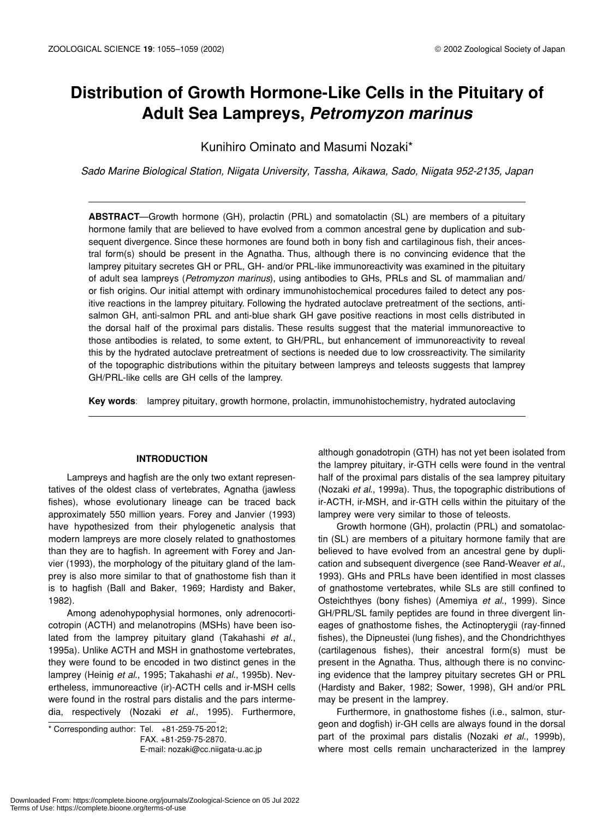# **Distribution of Growth Hormone-Like Cells in the Pituitary of Adult Sea Lampreys,** *Petromyzon marinus*

Kunihiro Ominato and Masumi Nozaki\*

*Sado Marine Biological Station, Niigata University, Tassha, Aikawa, Sado, Niigata 952-2135, Japan*

**ABSTRACT**—Growth hormone (GH), prolactin (PRL) and somatolactin (SL) are members of a pituitary hormone family that are believed to have evolved from a common ancestral gene by duplication and subsequent divergence. Since these hormones are found both in bony fish and cartilaginous fish, their ancestral form(s) should be present in the Agnatha. Thus, although there is no convincing evidence that the lamprey pituitary secretes GH or PRL, GH- and/or PRL-like immunoreactivity was examined in the pituitary of adult sea lampreys (*Petromyzon marinus*), using antibodies to GHs, PRLs and SL of mammalian and/ or fish origins. Our initial attempt with ordinary immunohistochemical procedures failed to detect any positive reactions in the lamprey pituitary. Following the hydrated autoclave pretreatment of the sections, antisalmon GH, anti-salmon PRL and anti-blue shark GH gave positive reactions in most cells distributed in the dorsal half of the proximal pars distalis. These results suggest that the material immunoreactive to those antibodies is related, to some extent, to GH/PRL, but enhancement of immunoreactivity to reveal this by the hydrated autoclave pretreatment of sections is needed due to low crossreactivity. The similarity of the topographic distributions within the pituitary between lampreys and teleosts suggests that lamprey GH/PRL-like cells are GH cells of the lamprey.

**Key words**: lamprey pituitary, growth hormone, prolactin, immunohistochemistry, hydrated autoclaving

# **INTRODUCTION**

Lampreys and hagfish are the only two extant representatives of the oldest class of vertebrates, Agnatha (jawless fishes), whose evolutionary lineage can be traced back approximately 550 million years. Forey and Janvier (1993) have hypothesized from their phylogenetic analysis that modern lampreys are more closely related to gnathostomes than they are to hagfish. In agreement with Forey and Janvier (1993), the morphology of the pituitary gland of the lamprey is also more similar to that of gnathostome fish than it is to hagfish (Ball and Baker, 1969; Hardisty and Baker, 1982).

Among adenohypophysial hormones, only adrenocorticotropin (ACTH) and melanotropins (MSHs) have been isolated from the lamprey pituitary gland (Takahashi *et al*., 1995a). Unlike ACTH and MSH in gnathostome vertebrates, they were found to be encoded in two distinct genes in the lamprey (Heinig *et al*., 1995; Takahashi *et al*., 1995b). Nevertheless, immunoreactive (ir)-ACTH cells and ir-MSH cells were found in the rostral pars distalis and the pars intermedia, respectively (Nozaki *et al*., 1995). Furthermore,

\* Corresponding author: Tel. +81-259-75-2012; FAX. +81-259-75-2870.

although gonadotropin (GTH) has not yet been isolated from the lamprey pituitary, ir-GTH cells were found in the ventral half of the proximal pars distalis of the sea lamprey pituitary (Nozaki *et al*., 1999a). Thus, the topographic distributions of ir-ACTH, ir-MSH, and ir-GTH cells within the pituitary of the lamprey were very similar to those of teleosts.

Growth hormone (GH), prolactin (PRL) and somatolactin (SL) are members of a pituitary hormone family that are believed to have evolved from an ancestral gene by duplication and subsequent divergence (see Rand-Weaver *et al.*, 1993). GHs and PRLs have been identified in most classes of gnathostome vertebrates, while SLs are still confined to Osteichthyes (bony fishes) (Amemiya *et al*., 1999). Since GH/PRL/SL family peptides are found in three divergent lineages of gnathostome fishes, the Actinopterygii (ray-finned fishes), the Dipneustei (lung fishes), and the Chondrichthyes (cartilagenous fishes), their ancestral form(s) must be present in the Agnatha. Thus, although there is no convincing evidence that the lamprey pituitary secretes GH or PRL (Hardisty and Baker, 1982; Sower, 1998), GH and/or PRL may be present in the lamprey.

Furthermore, in gnathostome fishes (i.e., salmon, sturgeon and dogfish) ir-GH cells are always found in the dorsal part of the proximal pars distalis (Nozaki *et al*., 1999b), where most cells remain uncharacterized in the lamprey

E-mail: nozaki@cc.niigata-u.ac.jp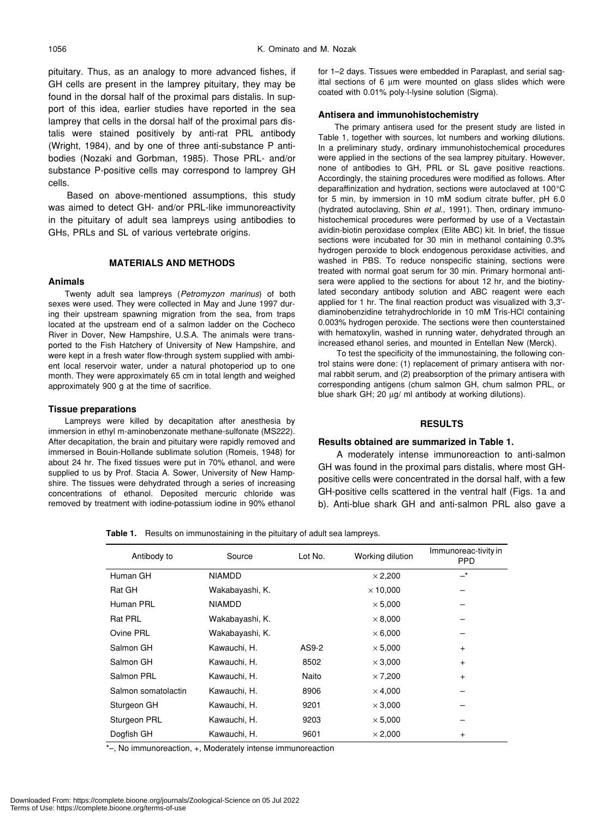pituitary. Thus, as an analogy to more advanced fishes, if GH cells are present in the lamprey pituitary, they may be found in the dorsal half of the proximal pars distalis. In support of this idea, earlier studies have reported in the sea lamprey that cells in the dorsal half of the proximal pars distalis were stained positively by anti-rat PRL antibody (Wright, 1984), and by one of three anti-substance P antibodies (Nozaki and Gorbman, 1985). Those PRL- and/or substance P-positive cells may correspond to lamprey GH cells.

Based on above-mentioned assumptions, this study was aimed to detect GH- and/or PRL-like immunoreactivity in the pituitary of adult sea lampreys using antibodies to GHs, PRLs and SL of various vertebrate origins.

# **MATERIALS AND METHODS**

## **Animals**

Twenty adult sea lampreys (*Petromyzon marinus*) of both sexes were used. They were collected in May and June 1997 during their upstream spawning migration from the sea, from traps located at the upstream end of a salmon ladder on the Cocheco River in Dover, New Hampshire, U.S.A. The animals were transported to the Fish Hatchery of University of New Hampshire, and were kept in a fresh water flow-through system supplied with ambient local reservoir water, under a natural photoperiod up to one month. They were approximately 65 cm in total length and weighed approximately 900 g at the time of sacrifice.

### **Tissue preparations**

Lampreys were killed by decapitation after anesthesia by immersion in ethyl m-aminobenzonate methane-sulfonate (MS222). After decapitation, the brain and pituitary were rapidly removed and immersed in Bouin-Hollande sublimate solution (Romeis, 1948) for about 24 hr. The fixed tissues were put in 70% ethanol, and were supplied to us by Prof. Stacia A. Sower, University of New Hampshire. The tissues were dehydrated through a series of increasing concentrations of ethanol. Deposited mercuric chloride was removed by treatment with iodine-potassium iodine in 90% ethanol for 1–2 days. Tissues were embedded in Paraplast, and serial sagittal sections of 6 µm were mounted on glass slides which were coated with 0.01% poly-l-lysine solution (Sigma).

# **Antisera and immunohistochemistry**

The primary antisera used for the present study are listed in Table 1, together with sources, lot numbers and working dilutions. In a preliminary study, ordinary immunohistochemical procedures were applied in the sections of the sea lamprey pituitary. However, none of antibodies to GH, PRL or SL gave positive reactions. Accordingly, the staining procedures were modified as follows. After deparaffinization and hydration, sections were autoclaved at 100°C for 5 min, by immersion in 10 mM sodium citrate buffer, pH 6.0 (hydrated autoclaving, Shin *et al*., 1991). Then, ordinary immunohistochemical procedures were performed by use of a Vectastain avidin-biotin peroxidase complex (Elite ABC) kit. In brief, the tissue sections were incubated for 30 min in methanol containing 0.3% hydrogen peroxide to block endogenous peroxidase activities, and washed in PBS. To reduce nonspecific staining, sections were treated with normal goat serum for 30 min. Primary hormonal antisera were applied to the sections for about 12 hr, and the biotinylated secondary antibody solution and ABC reagent were each applied for 1 hr. The final reaction product was visualized with 3,3' diaminobenzidine tetrahydrochloride in 10 mM Tris-HCl containing 0.003% hydrogen peroxide. The sections were then counterstained with hematoxylin, washed in running water, dehydrated through an increased ethanol series, and mounted in Entellan New (Merck).

To test the specificity of the immunostaining, the following control stains were done: (1) replacement of primary antisera with normal rabbit serum, and (2) preabsorption of the primary antisera with corresponding antigens (chum salmon GH, chum salmon PRL, or blue shark GH; 20 µg/ ml antibody at working dilutions).

# **RESULTS**

# **Results obtained are summarized in Table 1.**

A moderately intense immunoreaction to anti-salmon GH was found in the proximal pars distalis, where most GHpositive cells were concentrated in the dorsal half, with a few GH-positive cells scattered in the ventral half (Figs. 1a and b). Anti-blue shark GH and anti-salmon PRL also gave a

**Table 1.** Results on immunostaining in the pituitary of adult sea lampreys.

| Antibody to         | Source          | Lot No. | Working dilution | Immunoreac-tivity in<br><b>PPD</b> |
|---------------------|-----------------|---------|------------------|------------------------------------|
| Human GH            | <b>NIAMDD</b>   |         | $\times$ 2,200   | –*                                 |
| Rat GH              | Wakabayashi, K. |         | $\times$ 10,000  |                                    |
| Human PRL           | <b>NIAMDD</b>   |         | $\times$ 5,000   |                                    |
| <b>Rat PRL</b>      | Wakabayashi, K. |         | $\times$ 8,000   |                                    |
| Ovine PRL           | Wakabayashi, K. |         | $\times$ 6,000   |                                    |
| Salmon GH           | Kawauchi, H.    | AS9-2   | $\times$ 5,000   | $\ddot{}$                          |
| Salmon GH           | Kawauchi, H.    | 8502    | $\times$ 3,000   | +                                  |
| Salmon PRL          | Kawauchi, H.    | Naito   | $\times$ 7,200   | +                                  |
| Salmon somatolactin | Kawauchi, H.    | 8906    | $\times$ 4,000   |                                    |
| Sturgeon GH         | Kawauchi, H.    | 9201    | $\times$ 3,000   |                                    |
| Sturgeon PRL        | Kawauchi, H.    | 9203    | $\times$ 5,000   |                                    |
| Dogfish GH          | Kawauchi, H.    | 9601    | $\times$ 2,000   | +                                  |

\*–, No immunoreaction, +, Moderately intense immunoreaction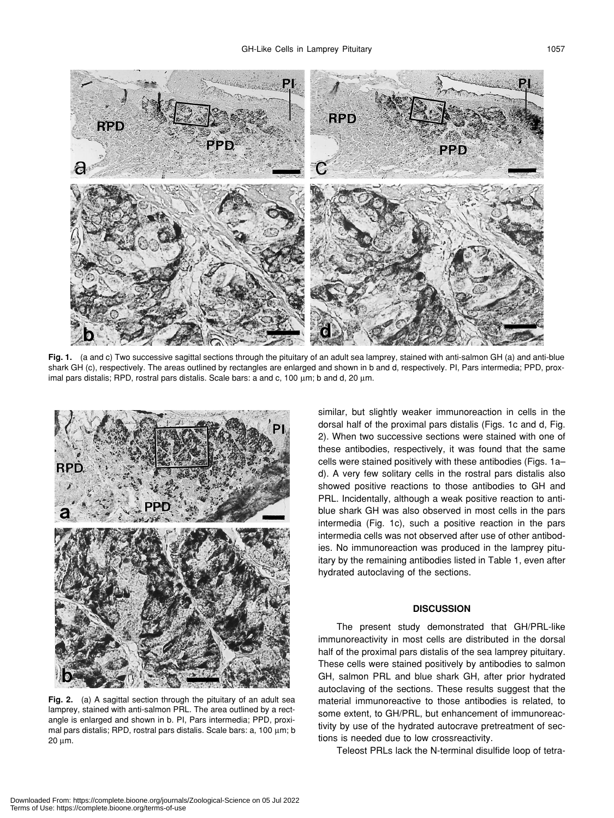

**Fig. 1.** (a and c) Two successive sagittal sections through the pituitary of an adult sea lamprey, stained with anti-salmon GH (a) and anti-blue shark GH (c), respectively. The areas outlined by rectangles are enlarged and shown in b and d, respectively. PI, Pars intermedia; PPD, proximal pars distalis; RPD, rostral pars distalis. Scale bars: a and c, 100 µm; b and d, 20 µm.



**Fig. 2.** (a) A sagittal section through the pituitary of an adult sea lamprey, stained with anti-salmon PRL. The area outlined by a rectangle is enlarged and shown in b. PI, Pars intermedia; PPD, proximal pars distalis; RPD, rostral pars distalis. Scale bars: a, 100 µm; b 20 µm.

similar, but slightly weaker immunoreaction in cells in the dorsal half of the proximal pars distalis (Figs. 1c and d, Fig. 2). When two successive sections were stained with one of these antibodies, respectively, it was found that the same cells were stained positively with these antibodies (Figs. 1a– d). A very few solitary cells in the rostral pars distalis also showed positive reactions to those antibodies to GH and PRL. Incidentally, although a weak positive reaction to antiblue shark GH was also observed in most cells in the pars intermedia (Fig. 1c), such a positive reaction in the pars intermedia cells was not observed after use of other antibodies. No immunoreaction was produced in the lamprey pituitary by the remaining antibodies listed in Table 1, even after hydrated autoclaving of the sections.

# **DISCUSSION**

The present study demonstrated that GH/PRL-like immunoreactivity in most cells are distributed in the dorsal half of the proximal pars distalis of the sea lamprey pituitary. These cells were stained positively by antibodies to salmon GH, salmon PRL and blue shark GH, after prior hydrated autoclaving of the sections. These results suggest that the material immunoreactive to those antibodies is related, to some extent, to GH/PRL, but enhancement of immunoreactivity by use of the hydrated autocrave pretreatment of sections is needed due to low crossreactivity.

Teleost PRLs lack the N-terminal disulfide loop of tetra-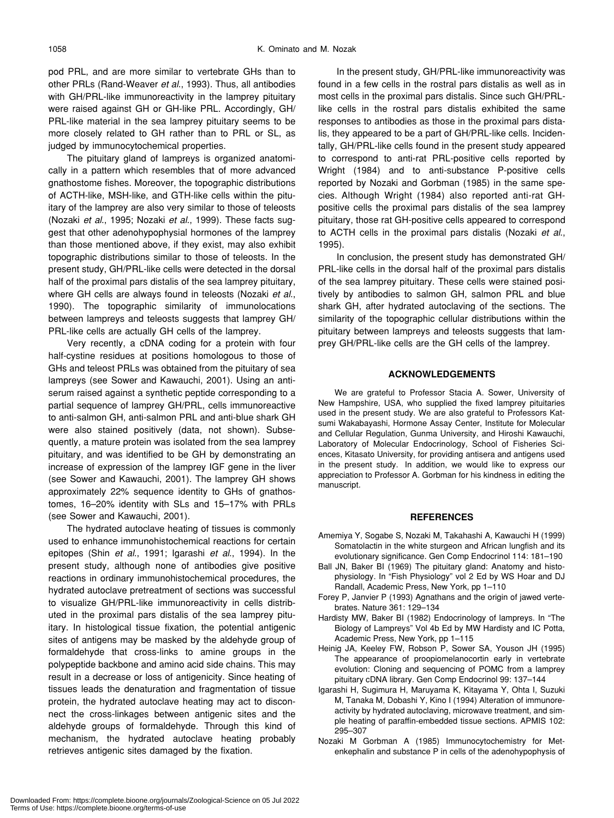pod PRL, and are more similar to vertebrate GHs than to other PRLs (Rand-Weaver *et al*., 1993). Thus, all antibodies with GH/PRL-like immunoreactivity in the lamprey pituitary were raised against GH or GH-like PRL. Accordingly, GH/ PRL-like material in the sea lamprey pituitary seems to be more closely related to GH rather than to PRL or SL, as judged by immunocytochemical properties.

The pituitary gland of lampreys is organized anatomically in a pattern which resembles that of more advanced gnathostome fishes. Moreover, the topographic distributions of ACTH-like, MSH-like, and GTH-like cells within the pituitary of the lamprey are also very similar to those of teleosts (Nozaki *et al*., 1995; Nozaki *et al*., 1999). These facts suggest that other adenohypophysial hormones of the lamprey than those mentioned above, if they exist, may also exhibit topographic distributions similar to those of teleosts. In the present study, GH/PRL-like cells were detected in the dorsal half of the proximal pars distalis of the sea lamprey pituitary, where GH cells are always found in teleosts (Nozaki *et al*., 1990). The topographic similarity of immunolocations between lampreys and teleosts suggests that lamprey GH/ PRL-like cells are actually GH cells of the lamprey.

Very recently, a cDNA coding for a protein with four half-cystine residues at positions homologous to those of GHs and teleost PRLs was obtained from the pituitary of sea lampreys (see Sower and Kawauchi, 2001). Using an antiserum raised against a synthetic peptide corresponding to a partial sequence of lamprey GH/PRL, cells immunoreactive to anti-salmon GH, anti-salmon PRL and anti-blue shark GH were also stained positively (data, not shown). Subsequently, a mature protein was isolated from the sea lamprey pituitary, and was identified to be GH by demonstrating an increase of expression of the lamprey IGF gene in the liver (see Sower and Kawauchi, 2001). The lamprey GH shows approximately 22% sequence identity to GHs of gnathostomes, 16–20% identity with SLs and 15–17% with PRLs (see Sower and Kawauchi, 2001).

The hydrated autoclave heating of tissues is commonly used to enhance immunohistochemical reactions for certain epitopes (Shin *et al*., 1991; Igarashi *et al*., 1994). In the present study, although none of antibodies give positive reactions in ordinary immunohistochemical procedures, the hydrated autoclave pretreatment of sections was successful to visualize GH/PRL-like immunoreactivity in cells distributed in the proximal pars distalis of the sea lamprey pituitary. In histological tissue fixation, the potential antigenic sites of antigens may be masked by the aldehyde group of formaldehyde that cross-links to amine groups in the polypeptide backbone and amino acid side chains. This may result in a decrease or loss of antigenicity. Since heating of tissues leads the denaturation and fragmentation of tissue protein, the hydrated autoclave heating may act to disconnect the cross-linkages between antigenic sites and the aldehyde groups of formaldehyde. Through this kind of mechanism, the hydrated autoclave heating probably retrieves antigenic sites damaged by the fixation.

In the present study, GH/PRL-like immunoreactivity was found in a few cells in the rostral pars distalis as well as in most cells in the proximal pars distalis. Since such GH/PRLlike cells in the rostral pars distalis exhibited the same responses to antibodies as those in the proximal pars distalis, they appeared to be a part of GH/PRL-like cells. Incidentally, GH/PRL-like cells found in the present study appeared to correspond to anti-rat PRL-positive cells reported by Wright (1984) and to anti-substance P-positive cells reported by Nozaki and Gorbman (1985) in the same species. Although Wright (1984) also reported anti-rat GHpositive cells the proximal pars distalis of the sea lamprey pituitary, those rat GH-positive cells appeared to correspond to ACTH cells in the proximal pars distalis (Nozaki *et al*., 1995).

In conclusion, the present study has demonstrated GH/ PRL-like cells in the dorsal half of the proximal pars distalis of the sea lamprey pituitary. These cells were stained positively by antibodies to salmon GH, salmon PRL and blue shark GH, after hydrated autoclaving of the sections. The similarity of the topographic cellular distributions within the pituitary between lampreys and teleosts suggests that lamprey GH/PRL-like cells are the GH cells of the lamprey.

### **ACKNOWLEDGEMENTS**

We are grateful to Professor Stacia A. Sower, University of New Hampshire, USA, who supplied the fixed lamprey pituitaries used in the present study. We are also grateful to Professors Katsumi Wakabayashi, Hormone Assay Center, Institute for Molecular and Cellular Regulation, Gunma University, and Hiroshi Kawauchi, Laboratory of Molecular Endocrinology, School of Fisheries Sciences, Kitasato University, for providing antisera and antigens used in the present study. In addition, we would like to express our appreciation to Professor A. Gorbman for his kindness in editing the manuscript.

#### **REFERENCES**

- Amemiya Y, Sogabe S, Nozaki M, Takahashi A, Kawauchi H (1999) Somatolactin in the white sturgeon and African lungfish and its evolutionary significance. Gen Comp Endocrinol 114: 181–190
- Ball JN, Baker BI (1969) The pituitary gland: Anatomy and histophysiology. In "Fish Physiology" vol 2 Ed by WS Hoar and DJ Randall, Academic Press, New York, pp 1–110
- Forey P, Janvier P (1993) Agnathans and the origin of jawed vertebrates. Nature 361: 129–134
- Hardisty MW, Baker BI (1982) Endocrinology of lampreys. In "The Biology of Lampreys" Vol 4b Ed by MW Hardisty and IC Potta, Academic Press, New York, pp 1–115
- Heinig JA, Keeley FW, Robson P, Sower SA, Youson JH (1995) The appearance of proopiomelanocortin early in vertebrate evolution: Cloning and sequencing of POMC from a lamprey pituitary cDNA library. Gen Comp Endocrinol 99: 137–144
- Igarashi H, Sugimura H, Maruyama K, Kitayama Y, Ohta I, Suzuki M, Tanaka M, Dobashi Y, Kino I (1994) Alteration of immunoreactivity by hydrated autoclaving, microwave treatment, and simple heating of paraffin-embedded tissue sections. APMIS 102: 295–307
- Nozaki M Gorbman A (1985) Immunocytochemistry for Metenkephalin and substance P in cells of the adenohypophysis of